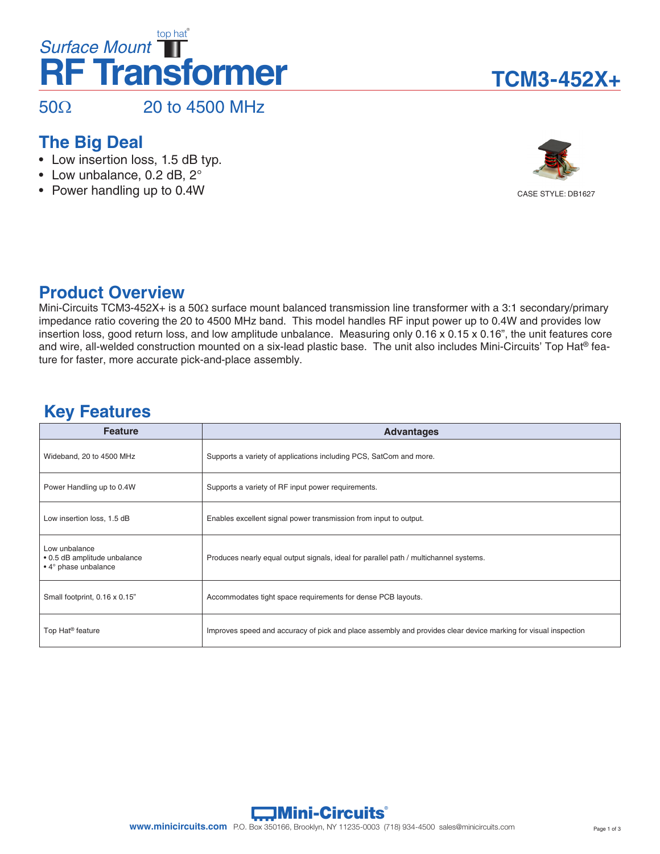# **RF Transformer** *Surface Mount* top hat®

 $50\Omega$  20 to 4500 MHz

### **The Big Deal**

- Low insertion loss, 1.5 dB typ.
- Low unbalance, 0.2 dB, 2°
- Power handling up to 0.4W





### **Product Overview**

Mini-Circuits TCM3-452X+ is a 50Ω surface mount balanced transmission line transformer with a 3:1 secondary/primary impedance ratio covering the 20 to 4500 MHz band. This model handles RF input power up to 0.4W and provides low insertion loss, good return loss, and low amplitude unbalance. Measuring only 0.16 x 0.15 x 0.16", the unit features core and wire, all-welded construction mounted on a six-lead plastic base. The unit also includes Mini-Circuits' Top Hat® feature for faster, more accurate pick-and-place assembly.

### **Key Features**

| <b>Feature</b>                                                        | <b>Advantages</b>                                                                                              |
|-----------------------------------------------------------------------|----------------------------------------------------------------------------------------------------------------|
| Wideband, 20 to 4500 MHz                                              | Supports a variety of applications including PCS, SatCom and more.                                             |
|                                                                       |                                                                                                                |
| Power Handling up to 0.4W                                             | Supports a variety of RF input power requirements.                                                             |
| Low insertion loss, 1.5 dB                                            | Enables excellent signal power transmission from input to output.                                              |
| Low unbalance<br>• 0.5 dB amplitude unbalance<br>• 4° phase unbalance | Produces nearly equal output signals, ideal for parallel path / multichannel systems.                          |
| Small footprint, 0.16 x 0.15"                                         | Accommodates tight space requirements for dense PCB layouts.                                                   |
| Top Hat <sup>®</sup> feature                                          | Improves speed and accuracy of pick and place assembly and provides clear device marking for visual inspection |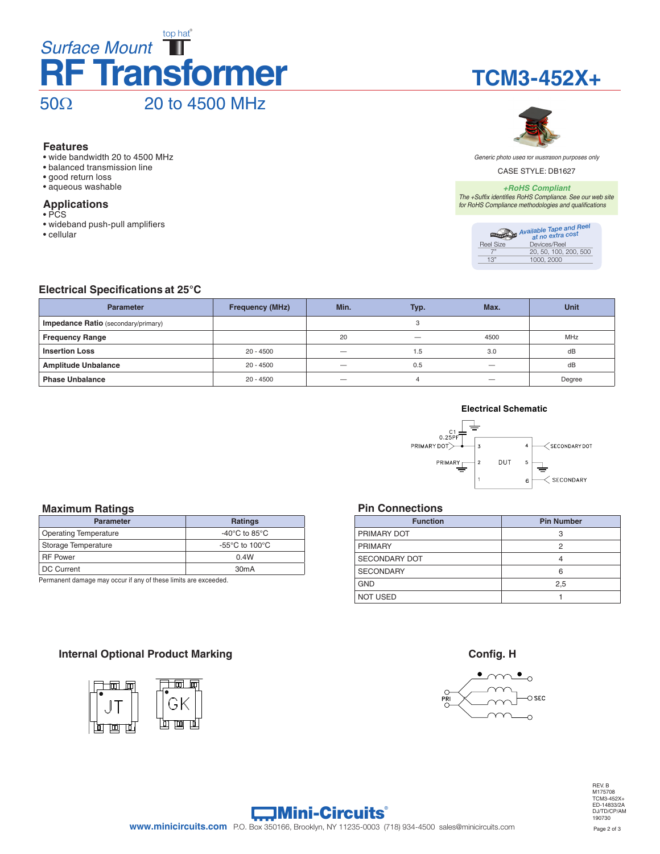### **RF Transformer** *Surface Mount* top hat® 50Ω 20 to 4500 MHz

#### **Features**

- wide bandwidth 20 to 4500 MHz
- balanced transmission line
- good return loss
- aqueous washable

#### **Applications**

- PCS
- wideband push-pull amplifiers
- cellular





*Generic photo used for illustration purposes only*

CASE STYLE: DB1627

#### *+RoHS Compliant*

*The +Suffix identifies RoHS Compliance. See our web site for RoHS Compliance methodologies and qualifications*

|           | Available Tape and Reel |
|-----------|-------------------------|
| Reel Size | Devices/Reel            |
|           | 20, 50, 100, 200, 500   |
| 1.3"      | 1000, 2000              |

#### **Electrical Specifications at 25°C**

| <b>Parameter</b>                           | <b>Frequency (MHz)</b> | Min. | Typ. | Max. | <b>Unit</b> |
|--------------------------------------------|------------------------|------|------|------|-------------|
| <b>Impedance Ratio</b> (secondary/primary) |                        |      | ◠    |      |             |
| <b>Frequency Range</b>                     |                        | 20   |      | 4500 | <b>MHz</b>  |
| <b>Insertion Loss</b>                      | $20 - 4500$            |      | 1.5  | 3.0  | dB          |
| <b>Amplitude Unbalance</b>                 | $20 - 4500$            |      | 0.5  |      | dB          |
| <b>Phase Unbalance</b>                     | $20 - 4500$            |      |      |      | Degree      |

#### **Electrical Schematic**



#### **Maximum Ratings**

| <b>Parameter</b>             | <b>Ratings</b>                                       |
|------------------------------|------------------------------------------------------|
| <b>Operating Temperature</b> | -40 $\rm{^{\circ}C}$ to 85 $\rm{^{\circ}C}$          |
| Storage Temperature          | -55 $\mathrm{^{\circ}C}$ to 100 $\mathrm{^{\circ}C}$ |
| <b>RF Power</b>              | 0.4W                                                 |
| <b>DC Current</b>            | 30 <sub>m</sub> A                                    |

Permanent damage may occur if any of these limits are exceeded.

#### **Pin Connections**

| <b>Function</b>      | <b>Pin Number</b> |
|----------------------|-------------------|
| PRIMARY DOT          | 3                 |
| <b>PRIMARY</b>       | 2                 |
| <b>SECONDARY DOT</b> | 4                 |
| <b>SECONDARY</b>     | 6                 |
| <b>GND</b>           | 2,5               |
| <b>NOT USED</b>      |                   |

#### **Internal Optional Product Marking <b>Config. H Config. H Config. H**





REV. B M175708 TCM3-452X+ ED-14833/2A DJ/TD/CP/AM 190730